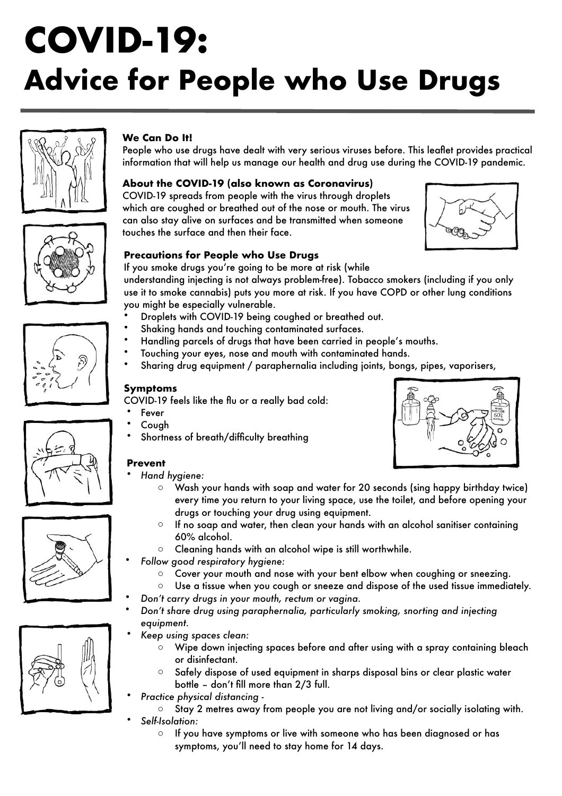# **COVID-19: Advice for People who Use Drugs**



# **We Can Do It!**

People who use drugs have dealt with very serious viruses before. This leaflet provides practical information that will help us manage our health and drug use during the COVID-19 pandemic.

#### **About the COVID-19 (also known as Coronavirus)**

COVID-19 spreads from people with the virus through droplets which are coughed or breathed out of the nose or mouth. The virus can also stay alive on surfaces and be transmitted when someone touches the surface and then their face.



#### **Precautions for People who Use Drugs**

If you smoke drugs you're going to be more at risk (while

understanding injecting is not always problem-free). Tobacco smokers (including if you only use it to smoke cannabis) puts you more at risk. If you have COPD or other lung conditions you might be especially vulnerable.

- Droplets with COVID-19 being coughed or breathed out.
- Shaking hands and touching contaminated surfaces.
- Handling parcels of drugs that have been carried in people's mouths.
- Touching your eyes, nose and mouth with contaminated hands.
- Sharing drug equipment / paraphernalia including joints, bongs, pipes, vaporisers,

#### **Symptoms**

COVID-19 feels like the flu or a really bad cold:

- **Fever**
- Cough
- Shortness of breath/difficulty breathing

#### **Prevent**

- *Hand hygiene:* 
	- o Wash your hands with soap and water for 20 seconds (sing happy birthday twice) every time you return to your living space, use the toilet, and before opening your drugs or touching your drug using equipment.
	- $\circ$  If no soap and water, then clean your hands with an alcohol sanitiser containing 60% alcohol.
	- o Cleaning hands with an alcohol wipe is still worthwhile.

• *Follow good respiratory hygiene:* 

- o Cover your mouth and nose with your bent elbow when coughing or sneezing.
- $\circ$  Use a tissue when you cough or sneeze and dispose of the used tissue immediately.
- *Don't carry drugs in your mouth, rectum or vagina.*
- *Don't share drug using paraphernalia, particularly smoking, snorting and injecting equipment.*
- *Keep using spaces clean:* 
	- $\circ$  Wipe down injecting spaces before and after using with a spray containing bleach or disinfectant.
	- o Safely dispose of used equipment in sharps disposal bins or clear plastic water bottle – don't fill more than 2/3 full.
- *Practice physical distancing*
	- o Stay 2 metres away from people you are not living and/or socially isolating with. • *Self-Isolation:* 
		- o If you have symptoms or live with someone who has been diagnosed or has symptoms, you'll need to stay home for 14 days.